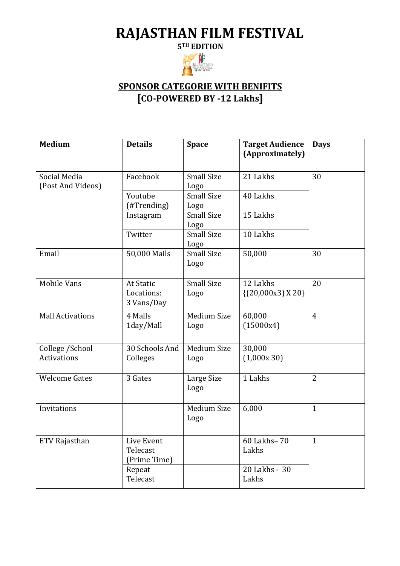## **RAJASTHAN FILM FESTIVAL**

**5TH EDITION**



## **SPONSOR CATEGORIE WITH BENIFITS [CO-POWERED BY -12 Lakhs]**

| <b>Medium</b>                         | <b>Details</b>                         | <b>Space</b>              | <b>Target Audience</b><br>(Approximately) | <b>Days</b>    |
|---------------------------------------|----------------------------------------|---------------------------|-------------------------------------------|----------------|
| Social Media<br>(Post And Videos)     | Facebook                               | <b>Small Size</b><br>Logo | 21 Lakhs                                  | 30             |
|                                       | Youtube<br>(#Trending)                 | <b>Small Size</b><br>Logo | 40 Lakhs                                  |                |
|                                       | Instagram                              | <b>Small Size</b><br>Logo | 15 Lakhs                                  |                |
|                                       | Twitter                                | <b>Small Size</b><br>Logo | 10 Lakhs                                  |                |
| Email                                 | 50,000 Mails                           | <b>Small Size</b><br>Logo | 50,000                                    | 30             |
| <b>Mobile Vans</b>                    | At Static<br>Locations:<br>3 Vans/Day  | <b>Small Size</b><br>Logo | 12 Lakhs<br>$\{(20,000x3)X20\}$           | 20             |
| <b>Mall Activations</b>               | 4 Malls<br>1day/Mall                   | Medium Size<br>Logo       | 60,000<br>(15000x4)                       | $\overline{4}$ |
| College /School<br><b>Activations</b> | 30 Schools And<br>Colleges             | Medium Size<br>Logo       | 30,000<br>(1,000x30)                      |                |
| <b>Welcome Gates</b>                  | 3 Gates                                | Large Size<br>Logo        | 1 Lakhs                                   | $\overline{2}$ |
| Invitations                           |                                        | Medium Size<br>Logo       | 6,000                                     | $\mathbf{1}$   |
| ETV Rajasthan                         | Live Event<br>Telecast<br>(Prime Time) |                           | 60 Lakhs-70<br>Lakhs                      | $\mathbf{1}$   |
|                                       | Repeat<br>Telecast                     |                           | 20 Lakhs - 30<br>Lakhs                    |                |